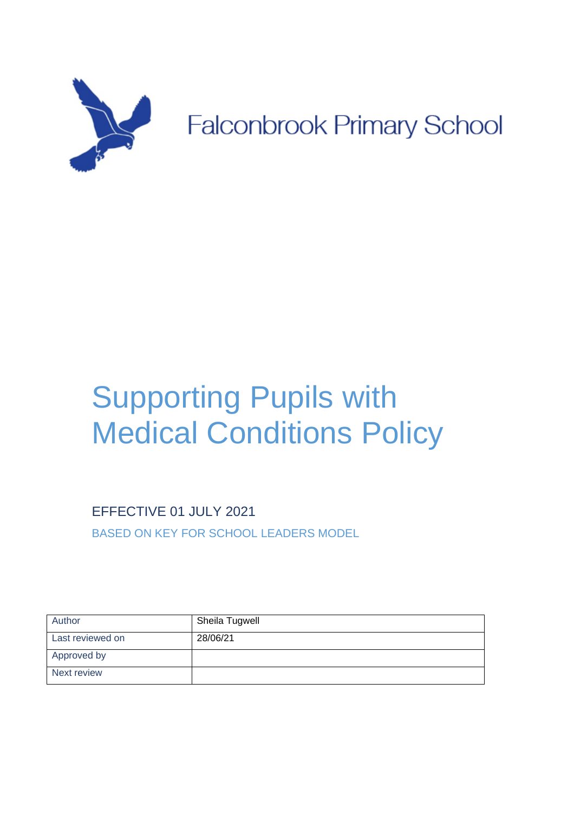

# Supporting Pupils with Medical Conditions Policy

EFFECTIVE 01 JULY 2021

POLICY

BASED ON KEY FOR SCHOOL LEADERS MODEL

| Author           | Sheila Tugwell |
|------------------|----------------|
| Last reviewed on | 28/06/21       |
| Approved by      |                |
| Next review      |                |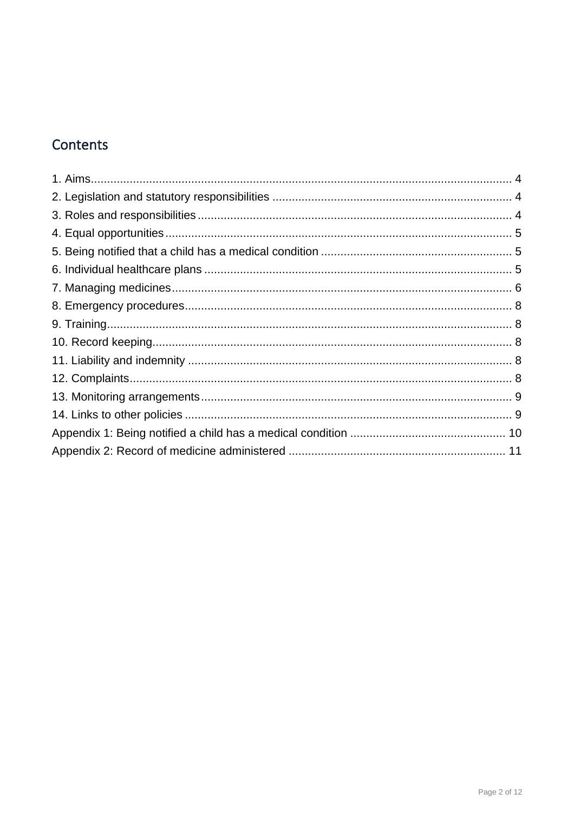# Contents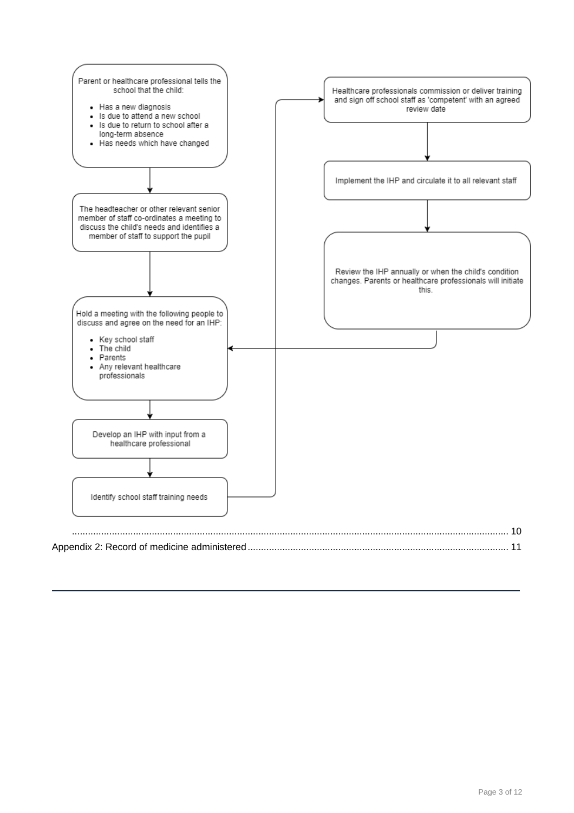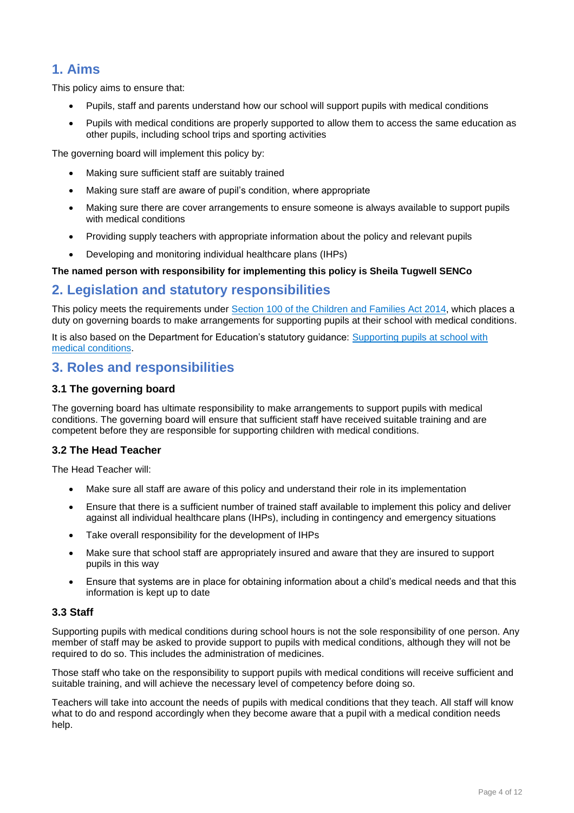## <span id="page-3-0"></span>**1. Aims**

This policy aims to ensure that:

- Pupils, staff and parents understand how our school will support pupils with medical conditions
- Pupils with medical conditions are properly supported to allow them to access the same education as other pupils, including school trips and sporting activities

The governing board will implement this policy by:

- Making sure sufficient staff are suitably trained
- Making sure staff are aware of pupil's condition, where appropriate
- Making sure there are cover arrangements to ensure someone is always available to support pupils with medical conditions
- Providing supply teachers with appropriate information about the policy and relevant pupils
- Developing and monitoring individual healthcare plans (IHPs)

#### **The named person with responsibility for implementing this policy is Sheila Tugwell SENCo**

## <span id="page-3-1"></span>**2. Legislation and statutory responsibilities**

This policy meets the requirements under [Section 100 of the Children and Families Act 2014,](http://www.legislation.gov.uk/ukpga/2014/6/part/5/crossheading/pupils-with-medical-conditions) which places a duty on governing boards to make arrangements for supporting pupils at their school with medical conditions.

It is also based on the Department for Education's statutory guidance: [Supporting pupils at school with](https://www.gov.uk/government/uploads/system/uploads/attachment_data/file/484418/supporting-pupils-at-school-with-medical-conditions.pdf)  [medical conditions.](https://www.gov.uk/government/uploads/system/uploads/attachment_data/file/484418/supporting-pupils-at-school-with-medical-conditions.pdf)

## <span id="page-3-2"></span>**3. Roles and responsibilities**

#### **3.1 The governing board**

The governing board has ultimate responsibility to make arrangements to support pupils with medical conditions. The governing board will ensure that sufficient staff have received suitable training and are competent before they are responsible for supporting children with medical conditions.

#### **3.2 The Head Teacher**

The Head Teacher will:

- Make sure all staff are aware of this policy and understand their role in its implementation
- Ensure that there is a sufficient number of trained staff available to implement this policy and deliver against all individual healthcare plans (IHPs), including in contingency and emergency situations
- Take overall responsibility for the development of IHPs
- Make sure that school staff are appropriately insured and aware that they are insured to support pupils in this way
- Ensure that systems are in place for obtaining information about a child's medical needs and that this information is kept up to date

#### **3.3 Staff**

Supporting pupils with medical conditions during school hours is not the sole responsibility of one person. Any member of staff may be asked to provide support to pupils with medical conditions, although they will not be required to do so. This includes the administration of medicines.

Those staff who take on the responsibility to support pupils with medical conditions will receive sufficient and suitable training, and will achieve the necessary level of competency before doing so.

Teachers will take into account the needs of pupils with medical conditions that they teach. All staff will know what to do and respond accordingly when they become aware that a pupil with a medical condition needs help.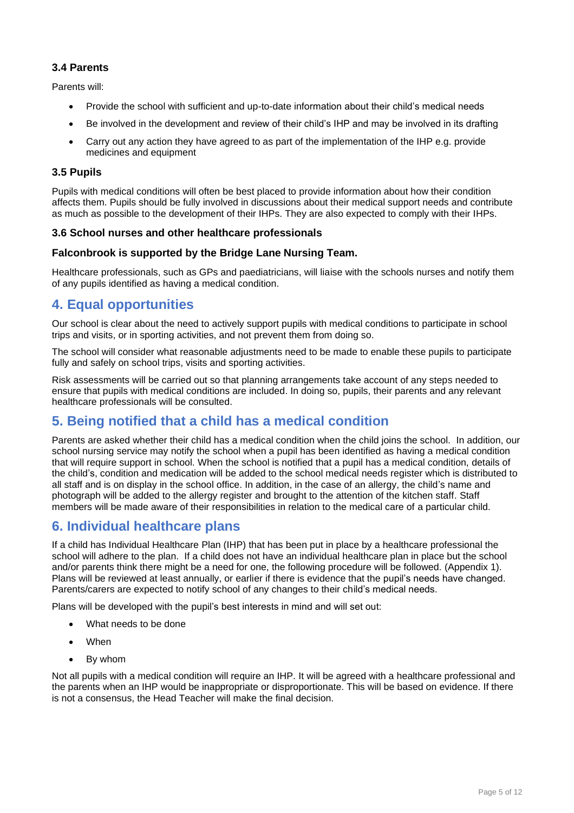#### **3.4 Parents**

Parents will:

- Provide the school with sufficient and up-to-date information about their child's medical needs
- Be involved in the development and review of their child's IHP and may be involved in its drafting
- Carry out any action they have agreed to as part of the implementation of the IHP e.g. provide medicines and equipment

#### **3.5 Pupils**

Pupils with medical conditions will often be best placed to provide information about how their condition affects them. Pupils should be fully involved in discussions about their medical support needs and contribute as much as possible to the development of their IHPs. They are also expected to comply with their IHPs.

#### **3.6 School nurses and other healthcare professionals**

#### **Falconbrook is supported by the Bridge Lane Nursing Team.**

Healthcare professionals, such as GPs and paediatricians, will liaise with the schools nurses and notify them of any pupils identified as having a medical condition.

## <span id="page-4-0"></span>**4. Equal opportunities**

Our school is clear about the need to actively support pupils with medical conditions to participate in school trips and visits, or in sporting activities, and not prevent them from doing so.

The school will consider what reasonable adjustments need to be made to enable these pupils to participate fully and safely on school trips, visits and sporting activities.

Risk assessments will be carried out so that planning arrangements take account of any steps needed to ensure that pupils with medical conditions are included. In doing so, pupils, their parents and any relevant healthcare professionals will be consulted.

## <span id="page-4-1"></span>**5. Being notified that a child has a medical condition**

Parents are asked whether their child has a medical condition when the child joins the school. In addition, our school nursing service may notify the school when a pupil has been identified as having a medical condition that will require support in school. When the school is notified that a pupil has a medical condition, details of the child's, condition and medication will be added to the school medical needs register which is distributed to all staff and is on display in the school office. In addition, in the case of an allergy, the child's name and photograph will be added to the allergy register and brought to the attention of the kitchen staff. Staff members will be made aware of their responsibilities in relation to the medical care of a particular child.

## <span id="page-4-2"></span>**6. Individual healthcare plans**

If a child has Individual Healthcare Plan (IHP) that has been put in place by a healthcare professional the school will adhere to the plan. If a child does not have an individual healthcare plan in place but the school and/or parents think there might be a need for one, the following procedure will be followed. (Appendix 1). Plans will be reviewed at least annually, or earlier if there is evidence that the pupil's needs have changed. Parents/carers are expected to notify school of any changes to their child's medical needs.

Plans will be developed with the pupil's best interests in mind and will set out:

- What needs to be done
- **When**
- By whom

Not all pupils with a medical condition will require an IHP. It will be agreed with a healthcare professional and the parents when an IHP would be inappropriate or disproportionate. This will be based on evidence. If there is not a consensus, the Head Teacher will make the final decision.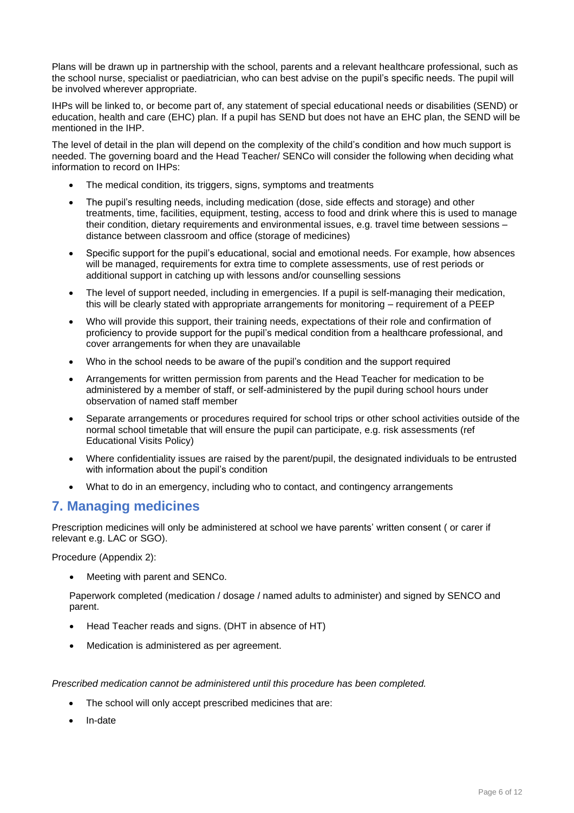Plans will be drawn up in partnership with the school, parents and a relevant healthcare professional, such as the school nurse, specialist or paediatrician, who can best advise on the pupil's specific needs. The pupil will be involved wherever appropriate.

IHPs will be linked to, or become part of, any statement of special educational needs or disabilities (SEND) or education, health and care (EHC) plan. If a pupil has SEND but does not have an EHC plan, the SEND will be mentioned in the IHP.

The level of detail in the plan will depend on the complexity of the child's condition and how much support is needed. The governing board and the Head Teacher/ SENCo will consider the following when deciding what information to record on IHPs:

- The medical condition, its triggers, signs, symptoms and treatments
- The pupil's resulting needs, including medication (dose, side effects and storage) and other treatments, time, facilities, equipment, testing, access to food and drink where this is used to manage their condition, dietary requirements and environmental issues, e.g. travel time between sessions – distance between classroom and office (storage of medicines)
- Specific support for the pupil's educational, social and emotional needs. For example, how absences will be managed, requirements for extra time to complete assessments, use of rest periods or additional support in catching up with lessons and/or counselling sessions
- The level of support needed, including in emergencies. If a pupil is self-managing their medication, this will be clearly stated with appropriate arrangements for monitoring – requirement of a PEEP
- Who will provide this support, their training needs, expectations of their role and confirmation of proficiency to provide support for the pupil's medical condition from a healthcare professional, and cover arrangements for when they are unavailable
- Who in the school needs to be aware of the pupil's condition and the support required
- Arrangements for written permission from parents and the Head Teacher for medication to be administered by a member of staff, or self-administered by the pupil during school hours under observation of named staff member
- Separate arrangements or procedures required for school trips or other school activities outside of the normal school timetable that will ensure the pupil can participate, e.g. risk assessments (ref Educational Visits Policy)
- Where confidentiality issues are raised by the parent/pupil, the designated individuals to be entrusted with information about the pupil's condition
- What to do in an emergency, including who to contact, and contingency arrangements

#### <span id="page-5-0"></span>**7. Managing medicines**

Prescription medicines will only be administered at school we have parents' written consent ( or carer if relevant e.g. LAC or SGO).

Procedure (Appendix 2):

• Meeting with parent and SENCo.

Paperwork completed (medication / dosage / named adults to administer) and signed by SENCO and parent.

- Head Teacher reads and signs. (DHT in absence of HT)
- Medication is administered as per agreement.

*Prescribed medication cannot be administered until this procedure has been completed.*

- The school will only accept prescribed medicines that are:
- In-date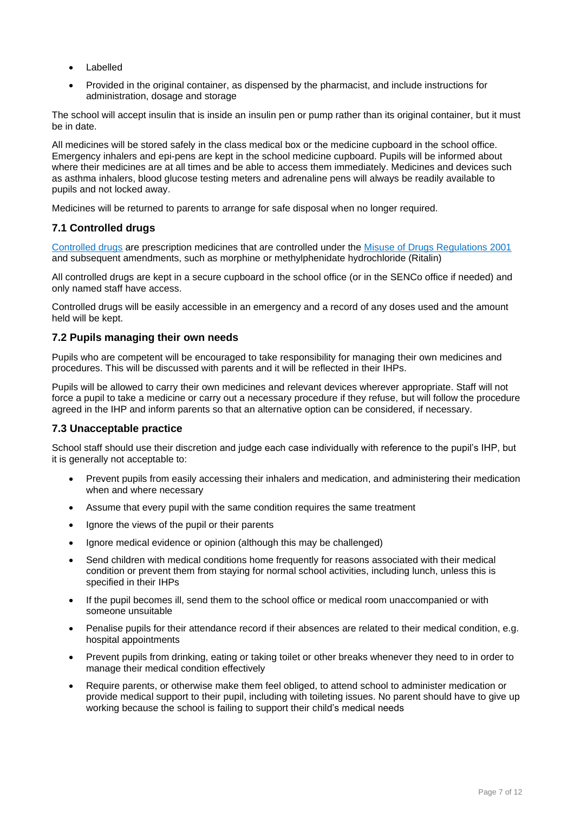- **Labelled**
- Provided in the original container, as dispensed by the pharmacist, and include instructions for administration, dosage and storage

The school will accept insulin that is inside an insulin pen or pump rather than its original container, but it must be in date.

All medicines will be stored safely in the class medical box or the medicine cupboard in the school office. Emergency inhalers and epi-pens are kept in the school medicine cupboard. Pupils will be informed about where their medicines are at all times and be able to access them immediately. Medicines and devices such as asthma inhalers, blood glucose testing meters and adrenaline pens will always be readily available to pupils and not locked away.

Medicines will be returned to parents to arrange for safe disposal when no longer required.

#### **7.1 Controlled drugs**

[Controlled drugs](http://www.nhs.uk/chq/Pages/1391.aspx?CategoryID=73) are prescription medicines that are controlled under the [Misuse of Drugs Regulations 2001](http://www.legislation.gov.uk/uksi/2001/3998/schedule/1/made) and subsequent amendments, such as morphine or methylphenidate hydrochloride (Ritalin)

All controlled drugs are kept in a secure cupboard in the school office (or in the SENCo office if needed) and only named staff have access.

Controlled drugs will be easily accessible in an emergency and a record of any doses used and the amount held will be kept.

#### **7.2 Pupils managing their own needs**

Pupils who are competent will be encouraged to take responsibility for managing their own medicines and procedures. This will be discussed with parents and it will be reflected in their IHPs.

Pupils will be allowed to carry their own medicines and relevant devices wherever appropriate. Staff will not force a pupil to take a medicine or carry out a necessary procedure if they refuse, but will follow the procedure agreed in the IHP and inform parents so that an alternative option can be considered, if necessary.

#### **7.3 Unacceptable practice**

School staff should use their discretion and judge each case individually with reference to the pupil's IHP, but it is generally not acceptable to:

- Prevent pupils from easily accessing their inhalers and medication, and administering their medication when and where necessary
- Assume that every pupil with the same condition requires the same treatment
- Ignore the views of the pupil or their parents
- Ignore medical evidence or opinion (although this may be challenged)
- Send children with medical conditions home frequently for reasons associated with their medical condition or prevent them from staying for normal school activities, including lunch, unless this is specified in their IHPs
- If the pupil becomes ill, send them to the school office or medical room unaccompanied or with someone unsuitable
- Penalise pupils for their attendance record if their absences are related to their medical condition, e.g. hospital appointments
- Prevent pupils from drinking, eating or taking toilet or other breaks whenever they need to in order to manage their medical condition effectively
- Require parents, or otherwise make them feel obliged, to attend school to administer medication or provide medical support to their pupil, including with toileting issues. No parent should have to give up working because the school is failing to support their child's medical needs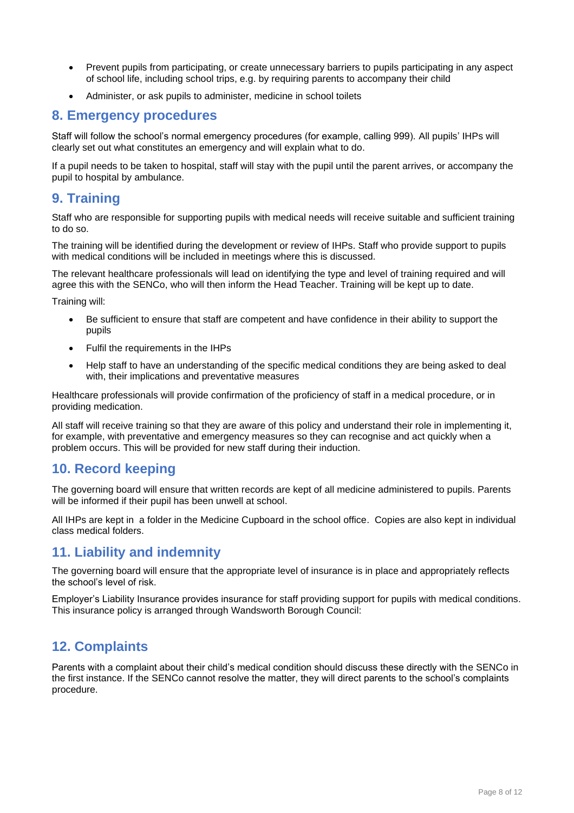- Prevent pupils from participating, or create unnecessary barriers to pupils participating in any aspect of school life, including school trips, e.g. by requiring parents to accompany their child
- Administer, or ask pupils to administer, medicine in school toilets

#### <span id="page-7-0"></span>**8. Emergency procedures**

Staff will follow the school's normal emergency procedures (for example, calling 999). All pupils' IHPs will clearly set out what constitutes an emergency and will explain what to do.

If a pupil needs to be taken to hospital, staff will stay with the pupil until the parent arrives, or accompany the pupil to hospital by ambulance.

## <span id="page-7-1"></span>**9. Training**

Staff who are responsible for supporting pupils with medical needs will receive suitable and sufficient training to do so.

The training will be identified during the development or review of IHPs. Staff who provide support to pupils with medical conditions will be included in meetings where this is discussed.

The relevant healthcare professionals will lead on identifying the type and level of training required and will agree this with the SENCo, who will then inform the Head Teacher. Training will be kept up to date.

Training will:

- Be sufficient to ensure that staff are competent and have confidence in their ability to support the pupils
- Fulfil the requirements in the IHPs
- Help staff to have an understanding of the specific medical conditions they are being asked to deal with, their implications and preventative measures

Healthcare professionals will provide confirmation of the proficiency of staff in a medical procedure, or in providing medication.

All staff will receive training so that they are aware of this policy and understand their role in implementing it, for example, with preventative and emergency measures so they can recognise and act quickly when a problem occurs. This will be provided for new staff during their induction.

## <span id="page-7-2"></span>**10. Record keeping**

The governing board will ensure that written records are kept of all medicine administered to pupils. Parents will be informed if their pupil has been unwell at school.

All IHPs are kept in a folder in the Medicine Cupboard in the school office. Copies are also kept in individual class medical folders.

## <span id="page-7-3"></span>**11. Liability and indemnity**

The governing board will ensure that the appropriate level of insurance is in place and appropriately reflects the school's level of risk.

Employer's Liability Insurance provides insurance for staff providing support for pupils with medical conditions. This insurance policy is arranged through Wandsworth Borough Council:

## <span id="page-7-4"></span>**12. Complaints**

Parents with a complaint about their child's medical condition should discuss these directly with the SENCo in the first instance. If the SENCo cannot resolve the matter, they will direct parents to the school's complaints procedure.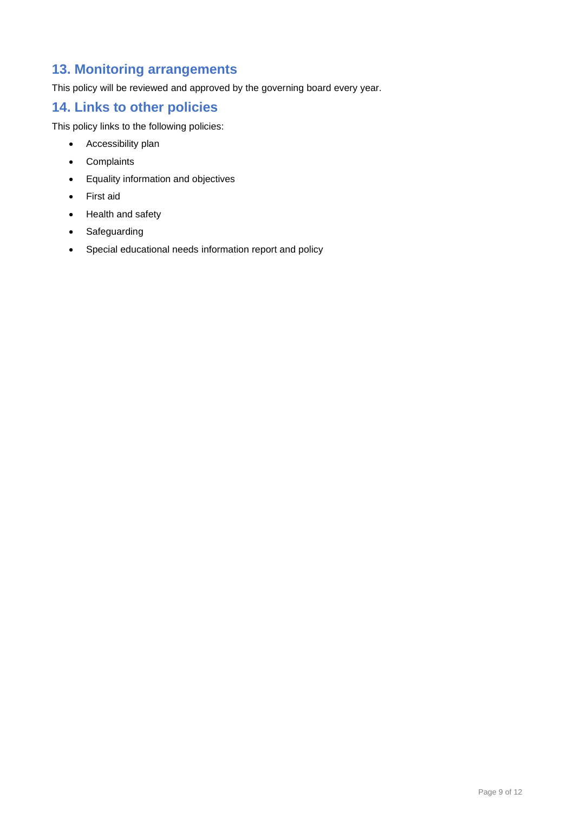## <span id="page-8-0"></span>**13. Monitoring arrangements**

This policy will be reviewed and approved by the governing board every year.

## <span id="page-8-1"></span>**14. Links to other policies**

This policy links to the following policies:

- Accessibility plan
- Complaints
- Equality information and objectives
- First aid
- Health and safety
- Safeguarding
- Special educational needs information report and policy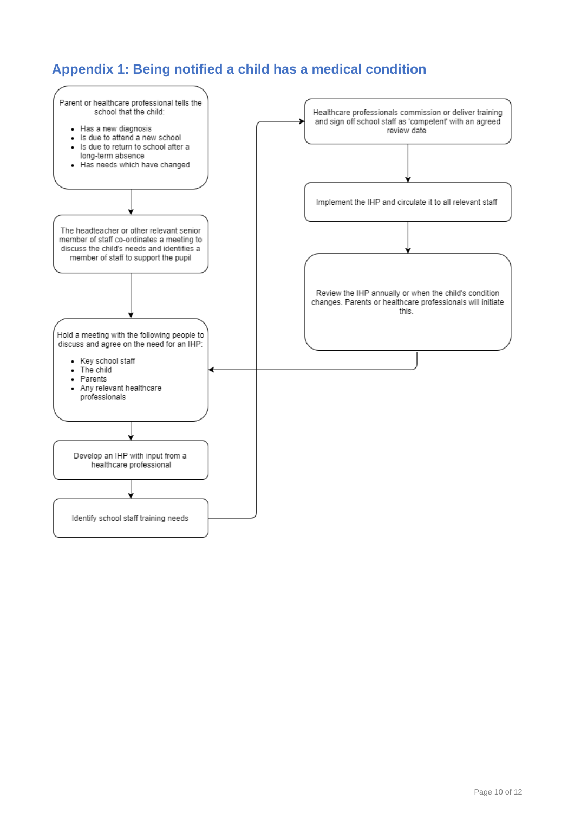## <span id="page-9-0"></span>**Appendix 1: Being notified a child has a medical condition**

<span id="page-9-1"></span>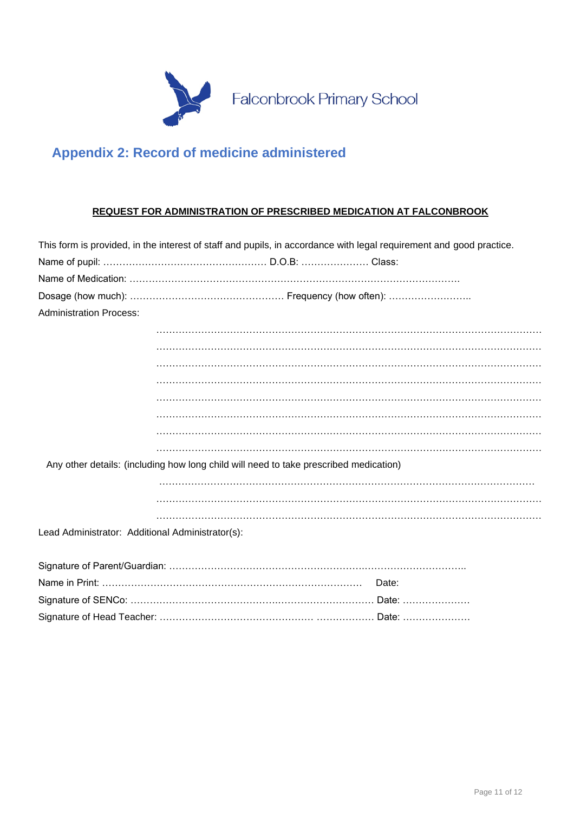

# <span id="page-10-0"></span>**Appendix 2: Record of medicine administered**

#### **REQUEST FOR ADMINISTRATION OF PRESCRIBED MEDICATION AT FALCONBROOK**

|                                                  | This form is provided, in the interest of staff and pupils, in accordance with legal requirement and good practice. |
|--------------------------------------------------|---------------------------------------------------------------------------------------------------------------------|
|                                                  |                                                                                                                     |
|                                                  |                                                                                                                     |
|                                                  |                                                                                                                     |
| <b>Administration Process:</b>                   |                                                                                                                     |
|                                                  |                                                                                                                     |
|                                                  |                                                                                                                     |
|                                                  |                                                                                                                     |
|                                                  |                                                                                                                     |
|                                                  |                                                                                                                     |
|                                                  |                                                                                                                     |
|                                                  |                                                                                                                     |
|                                                  |                                                                                                                     |
|                                                  | Any other details: (including how long child will need to take prescribed medication)                               |
|                                                  |                                                                                                                     |
|                                                  |                                                                                                                     |
|                                                  |                                                                                                                     |
| Lead Administrator: Additional Administrator(s): |                                                                                                                     |